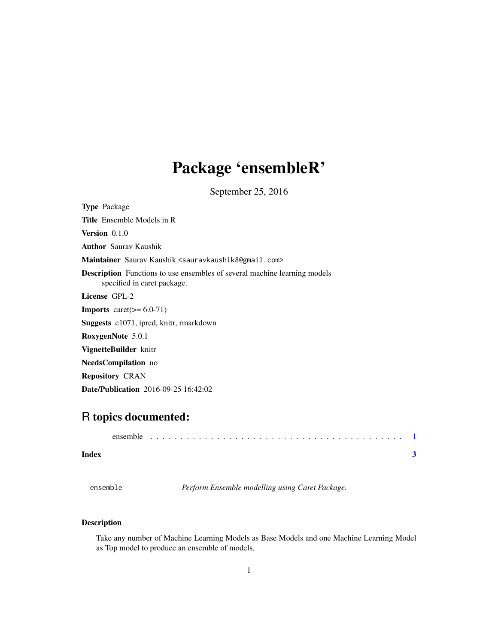## <span id="page-0-0"></span>Package 'ensembleR'

September 25, 2016

Type Package Title Ensemble Models in R Version 0.1.0 Author Saurav Kaushik Maintainer Saurav Kaushik <sauravkaushik8@gmail.com> Description Functions to use ensembles of several machine learning models specified in caret package. License GPL-2 **Imports** caret( $>= 6.0-71$ ) Suggests e1071, ipred, knitr, rmarkdown RoxygenNote 5.0.1 VignetteBuilder knitr NeedsCompilation no Repository CRAN

### R topics documented:

Date/Publication 2016-09-25 16:42:02

| Index |  |  |  |  |  |  |  |  |  |  |  |  |  |  |  |  |  |
|-------|--|--|--|--|--|--|--|--|--|--|--|--|--|--|--|--|--|

ensemble *Perform Ensemble modelling using Caret Package.*

#### Description

Take any number of Machine Learning Models as Base Models and one Machine Learning Model as Top model to produce an ensemble of models.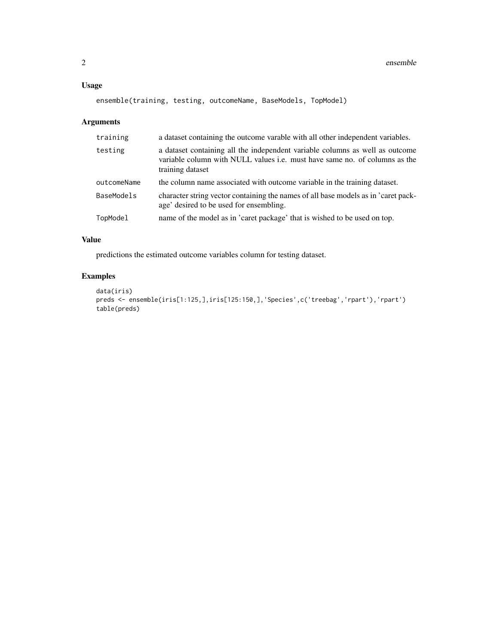#### Usage

```
ensemble(training, testing, outcomeName, BaseModels, TopModel)
```
#### Arguments

| training    | a dataset containing the outcome varable with all other independent variables.                                                                                                        |
|-------------|---------------------------------------------------------------------------------------------------------------------------------------------------------------------------------------|
| testing     | a dataset containing all the independent variable columns as well as outcome<br>variable column with NULL values <i>i.e.</i> must have same no. of columns as the<br>training dataset |
| outcomeName | the column name associated with outcome variable in the training dataset.                                                                                                             |
| BaseModels  | character string vector containing the names of all base models as in 'caret pack-<br>age' desired to be used for ensembling.                                                         |
| TopModel    | name of the model as in 'caret package' that is wished to be used on top.                                                                                                             |

#### Value

predictions the estimated outcome variables column for testing dataset.

#### Examples

```
data(iris)
preds <- ensemble(iris[1:125,],iris[125:150,],'Species',c('treebag','rpart'),'rpart')
table(preds)
```